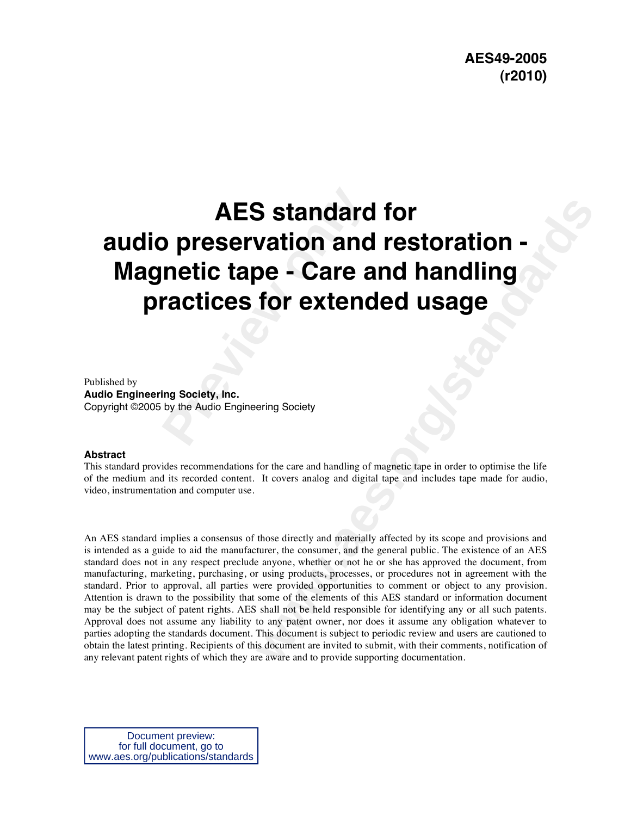# **Preservation and<br>
<b>Preservation and**<br> **Preservation and<br>
<b>Preservation Extend**<br> **Property, Inc.**<br> **Property, Inc.**<br> **Property, Inc.**<br> **Property, Inc.**<br> **Property Audio Engineering Society AES standard for audio preservation and restoration - Magnetic tape - Care and handling practices for extended usage**

Published by **Audio Engineering Society, Inc.**  Copyright ©2005 by the Audio Engineering Society

#### **Abstract**

This standard provides recommendations for the care and handling of magnetic tape in order to optimise the life of the medium and its recorded content. It covers analog and digital tape and includes tape made for audio, video, instrumentation and computer use.

**Similar and restoration -**<br> **Wation and restoration -**<br> **De - Care and handling**<br>
for extended usage<br>
for  $\frac{1}{2}$ <br>
for  $\frac{1}{2}$ <br>
for  $\frac{1}{2}$ <br>
for  $\frac{1}{2}$ <br>
for  $\frac{1}{2}$ <br>
for  $\frac{1}{2}$ <br>
for  $\frac{1}{2}$ <br>
for  $\frac{1}{2}$ <br> An AES standard implies a consensus of those directly and materially affected by its scope and provisions and is intended as a guide to aid the manufacturer, the consumer, and the general public. The existence of an AES standard does not in any respect preclude anyone, whether or not he or she has approved the document, from manufacturing, marketing, purchasing, or using products, processes, or procedures not in agreement with the standard. Prior to approval, all parties were provided opportunities to comment or object to any provision. Attention is drawn to the possibility that some of the elements of this AES standard or information document may be the subject of patent rights. AES shall not be held responsible for identifying any or all such patents. Approval does not assume any liability to any patent owner, nor does it assume any obligation whatever to parties adopting the standards document. This document is subject to periodic review and users are cautioned to obtain the latest printing. Recipients of this document are invited to submit, with their comments, notification of any relevant patent rights of which they are aware and to provide supporting documentation.

Document preview: for full document, go to www.aes.org/publications/standards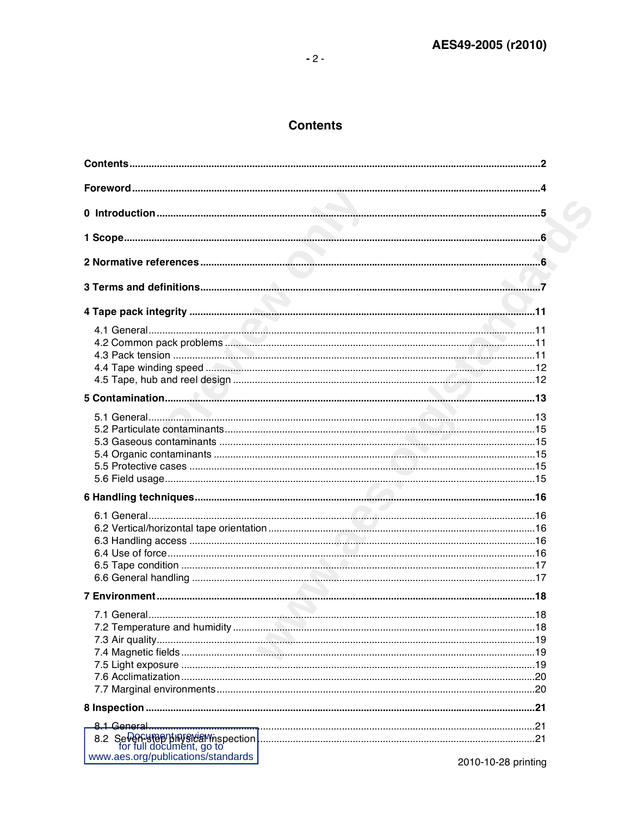# **Contents**

| 8.2 Seven under the production of the contract of the seven product of the second of the document, go to the contract of the document, go to the contract of the second of the document, go to the contract of the contract of | .21                 |
|--------------------------------------------------------------------------------------------------------------------------------------------------------------------------------------------------------------------------------|---------------------|
| www.aes.org/publications/standards                                                                                                                                                                                             | 2010-10-28 printing |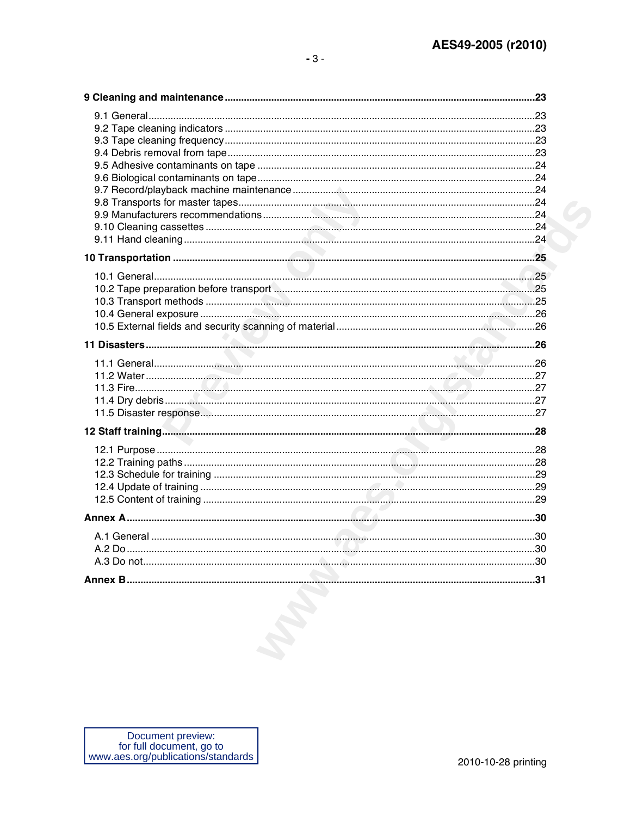| $A.2$ Do | 30 |
|----------|----|
|          |    |
|          |    |
|          |    |
|          |    |
|          |    |
|          |    |
|          |    |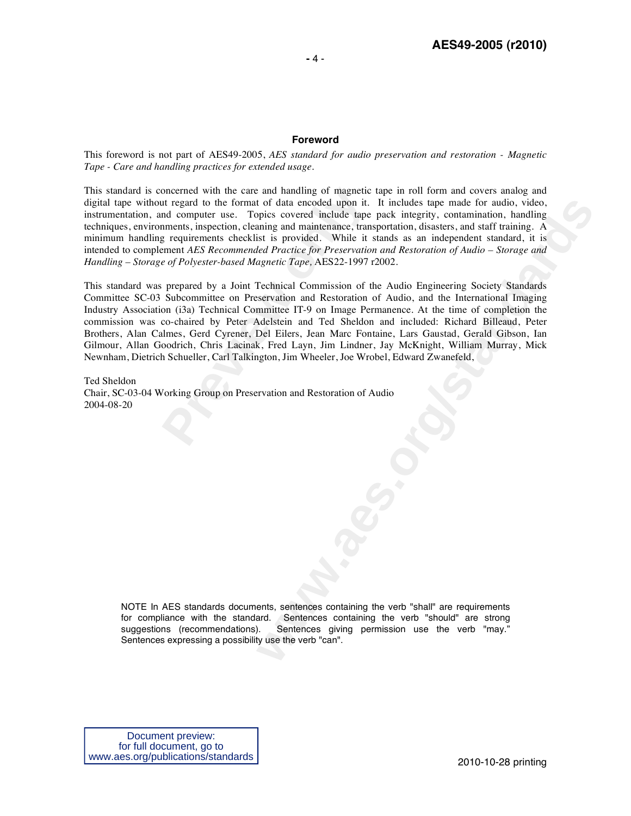### **Foreword**

This foreword is not part of AES49-2005, *AES standard for audio preservation and restoration - Magnetic Tape - Care and handling practices for extended usage*.

This standard is concerned with the care and handling of magnetic tape in roll form and covers analog and digital tape without regard to the format of data encoded upon it. It includes tape made for audio, video, instrumentation, and computer use. Topics covered include tape pack integrity, contamination, handling techniques, environments, inspection, cleaning and maintenance, transportation, disasters, and staff training. A minimum handling requirements checklist is provided. While it stands as an independent standard, it is intended to complement *AES Recommended Practice for Preservation and Restoration of Audio – Storage and Handling – Storage of Polyester-based Magnetic Tape,* AES22-1997 r2002.

oncerned with the care and handling of magnetic<br>tiver the care and handling of magnetic<br>tiver and computer use. Topics covered include tape<br>nments, inspection, cleaning and maintenance, tran<br>g requirements checklist is pro t of data encoded upon it. It includes tape made for audio, video, includes tape of a state streptive, containination, handling<br>pipes covered include tape pack integrity, containination, handling<br>aning and maintenance. tra This standard was prepared by a Joint Technical Commission of the Audio Engineering Society Standards Committee SC-03 Subcommittee on Preservation and Restoration of Audio, and the International Imaging Industry Association (i3a) Technical Committee IT-9 on Image Permanence. At the time of completion the commission was co-chaired by Peter Adelstein and Ted Sheldon and included: Richard Billeaud, Peter Brothers, Alan Calmes, Gerd Cyrener, Del Eilers, Jean Marc Fontaine, Lars Gaustad, Gerald Gibson, Ian Gilmour, Allan Goodrich, Chris Lacinak, Fred Layn, Jim Lindner, Jay McKnight, William Murray, Mick Newnham, Dietrich Schueller, Carl Talkington, Jim Wheeler, Joe Wrobel, Edward Zwanefeld,

Ted Sheldon Chair, SC-03-04 Working Group on Preservation and Restoration of Audio 2004-08-20

> NOTE In AES standards documents, sentences containing the verb "shall" are requirements for compliance with the standard. Sentences containing the verb "should" are strong suggestions (recommendations). Sentences giving permission use the verb "may." Sentences expressing a possibility use the verb "can".

Document preview: for full document, go to www.aes.org/publications/standards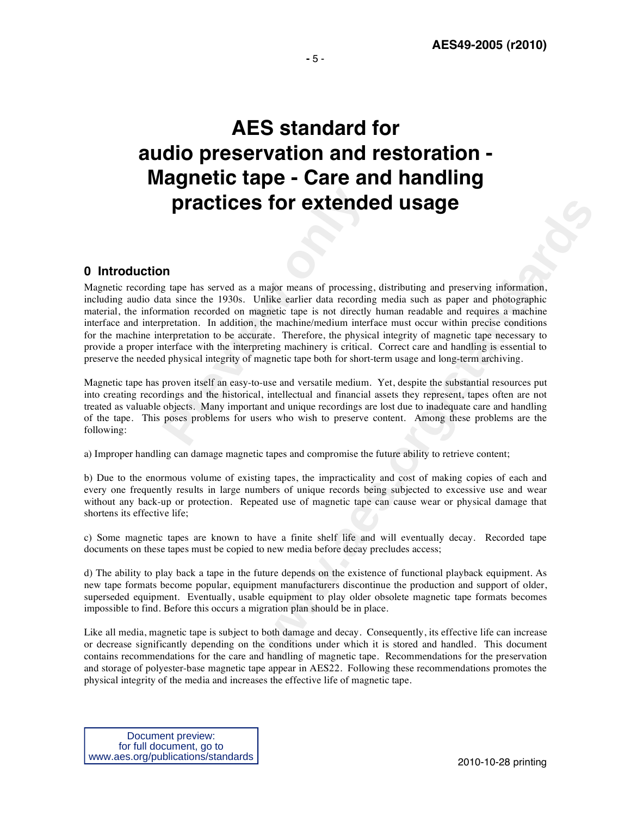# **AES standard for audio preservation and restoration - Magnetic tape - Care and handling practices for extended usage**

# **0 Introduction**

**Practices for extends**<br> **predictions of the set of the set of the set of the set of the set of the 1930s. Unlike earlier data recording<br>
mation recorded on magnetic tape is not directly<br>
pretation. In addition, the machin Examplementary and any processing distribution and preserving information.** The major means of processing, distribution and preserving information. This example to pair and a particular parameter parameter parameter param Magnetic recording tape has served as a major means of processing, distributing and preserving information, including audio data since the 1930s. Unlike earlier data recording media such as paper and photographic material, the information recorded on magnetic tape is not directly human readable and requires a machine interface and interpretation. In addition, the machine/medium interface must occur within precise conditions for the machine interpretation to be accurate. Therefore, the physical integrity of magnetic tape necessary to provide a proper interface with the interpreting machinery is critical. Correct care and handling is essential to preserve the needed physical integrity of magnetic tape both for short-term usage and long-term archiving.

Magnetic tape has proven itself an easy-to-use and versatile medium. Yet, despite the substantial resources put into creating recordings and the historical, intellectual and financial assets they represent, tapes often are not treated as valuable objects. Many important and unique recordings are lost due to inadequate care and handling of the tape. This poses problems for users who wish to preserve content. Among these problems are the following:

a) Improper handling can damage magnetic tapes and compromise the future ability to retrieve content;

b) Due to the enormous volume of existing tapes, the impracticality and cost of making copies of each and every one frequently results in large numbers of unique records being subjected to excessive use and wear without any back-up or protection. Repeated use of magnetic tape can cause wear or physical damage that shortens its effective life;

c) Some magnetic tapes are known to have a finite shelf life and will eventually decay. Recorded tape documents on these tapes must be copied to new media before decay precludes access;

d) The ability to play back a tape in the future depends on the existence of functional playback equipment. As new tape formats become popular, equipment manufacturers discontinue the production and support of older, superseded equipment. Eventually, usable equipment to play older obsolete magnetic tape formats becomes impossible to find. Before this occurs a migration plan should be in place.

Like all media, magnetic tape is subject to both damage and decay. Consequently, its effective life can increase or decrease significantly depending on the conditions under which it is stored and handled. This document contains recommendations for the care and handling of magnetic tape. Recommendations for the preservation and storage of polyester-base magnetic tape appear in AES22. Following these recommendations promotes the physical integrity of the media and increases the effective life of magnetic tape.